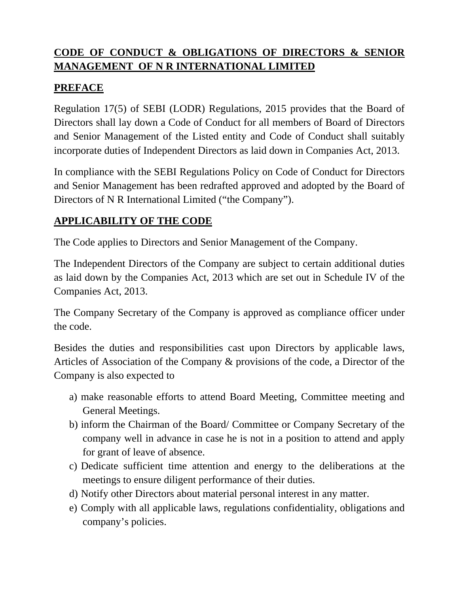# **CODE OF CONDUCT & OBLIGATIONS OF DIRECTORS & SENIOR MANAGEMENT OF N R INTERNATIONAL LIMITED**

#### **PREFACE**

Regulation 17(5) of SEBI (LODR) Regulations, 2015 provides that the Board of Directors shall lay down a Code of Conduct for all members of Board of Directors and Senior Management of the Listed entity and Code of Conduct shall suitably incorporate duties of Independent Directors as laid down in Companies Act, 2013.

In compliance with the SEBI Regulations Policy on Code of Conduct for Directors and Senior Management has been redrafted approved and adopted by the Board of Directors of N R International Limited ("the Company").

## **APPLICABILITY OF THE CODE**

The Code applies to Directors and Senior Management of the Company.

The Independent Directors of the Company are subject to certain additional duties as laid down by the Companies Act, 2013 which are set out in Schedule IV of the Companies Act, 2013.

The Company Secretary of the Company is approved as compliance officer under the code.

Besides the duties and responsibilities cast upon Directors by applicable laws, Articles of Association of the Company & provisions of the code, a Director of the Company is also expected to

- a) make reasonable efforts to attend Board Meeting, Committee meeting and General Meetings.
- b) inform the Chairman of the Board/ Committee or Company Secretary of the company well in advance in case he is not in a position to attend and apply for grant of leave of absence.
- c) Dedicate sufficient time attention and energy to the deliberations at the meetings to ensure diligent performance of their duties.
- d) Notify other Directors about material personal interest in any matter.
- e) Comply with all applicable laws, regulations confidentiality, obligations and company's policies.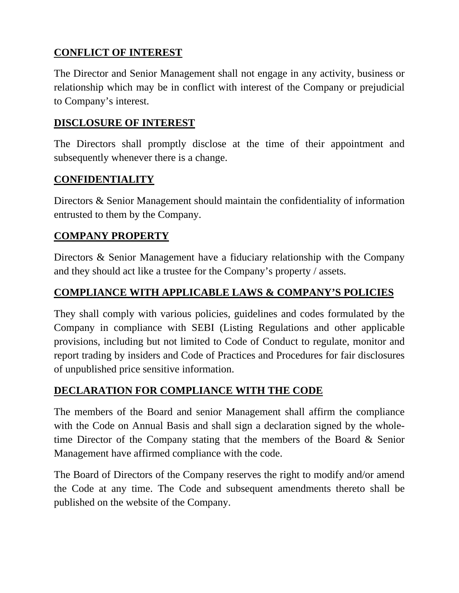# **CONFLICT OF INTEREST**

The Director and Senior Management shall not engage in any activity, business or relationship which may be in conflict with interest of the Company or prejudicial to Company's interest.

## **DISCLOSURE OF INTEREST**

The Directors shall promptly disclose at the time of their appointment and subsequently whenever there is a change.

### **CONFIDENTIALITY**

Directors & Senior Management should maintain the confidentiality of information entrusted to them by the Company.

### **COMPANY PROPERTY**

Directors & Senior Management have a fiduciary relationship with the Company and they should act like a trustee for the Company's property / assets.

### **COMPLIANCE WITH APPLICABLE LAWS & COMPANY'S POLICIES**

They shall comply with various policies, guidelines and codes formulated by the Company in compliance with SEBI (Listing Regulations and other applicable provisions, including but not limited to Code of Conduct to regulate, monitor and report trading by insiders and Code of Practices and Procedures for fair disclosures of unpublished price sensitive information.

## **DECLARATION FOR COMPLIANCE WITH THE CODE**

The members of the Board and senior Management shall affirm the compliance with the Code on Annual Basis and shall sign a declaration signed by the wholetime Director of the Company stating that the members of the Board & Senior Management have affirmed compliance with the code.

The Board of Directors of the Company reserves the right to modify and/or amend the Code at any time. The Code and subsequent amendments thereto shall be published on the website of the Company.